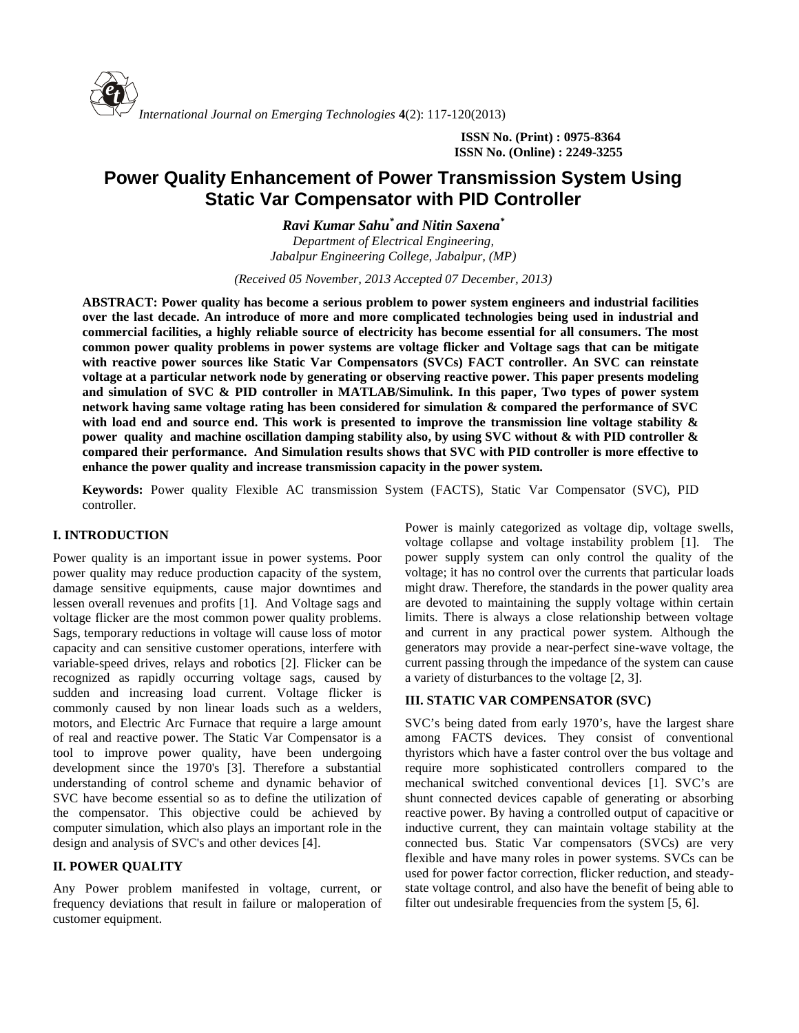**ISSN No. (Print) : 0975-8364 ISSN No. (Online) : 2249-3255**

# **Power Quality Enhancement of Power Transmission System Using Static Var Compensator with PID Controller**

*Ravi Kumar Sahu\* and Nitin Saxena\* Department of Electrical Engineering, Jabalpur Engineering College, Jabalpur, (MP)*

*(Received 05 November, 2013 Accepted 07 December, 2013)*

**ABSTRACT: Power quality has become a serious problem to power system engineers and industrial facilities over the last decade. An introduce of more and more complicated technologies being used in industrial and commercial facilities, a highly reliable source of electricity has become essential for all consumers. The most common power quality problems in power systems are voltage flicker and Voltage sags that can be mitigate with reactive power sources like Static Var Compensators (SVCs) FACT controller. An SVC can reinstate voltage at a particular network node by generating or observing reactive power. This paper presents modeling and simulation of SVC & PID controller in MATLAB/Simulink. In this paper, Two types of power system network having same voltage rating has been considered for simulation & compared the performance of SVC with load end and source end. This work is presented to improve the transmission line voltage stability & power quality and machine oscillation damping stability also, by using SVC without & with PID controller & compared their performance. And Simulation results shows that SVC with PID controller is more effective to enhance the power quality and increase transmission capacity in the power system.**

**Keywords:** Power quality Flexible AC transmission System (FACTS), Static Var Compensator (SVC), PID controller.

# **I. INTRODUCTION**

Power quality is an important issue in power systems. Poor power quality may reduce production capacity of the system, damage sensitive equipments, cause major downtimes and lessen overall revenues and profits [1]. And Voltage sags and voltage flicker are the most common power quality problems. Sags, temporary reductions in voltage will cause loss of motor capacity and can sensitive customer operations, interfere with variable-speed drives, relays and robotics [2]. Flicker can be recognized as rapidly occurring voltage sags, caused by sudden and increasing load current. Voltage flicker is commonly caused by non linear loads such as a welders, motors, and Electric Arc Furnace that require a large amount of real and reactive power. The Static Var Compensator is a tool to improve power quality, have been undergoing development since the 1970's [3]. Therefore a substantial understanding of control scheme and dynamic behavior of SVC have become essential so as to define the utilization of the compensator. This objective could be achieved by computer simulation, which also plays an important role in the design and analysis of SVC's and other devices [4].

## **II. POWER QUALITY**

Any Power problem manifested in voltage, current, or frequency deviations that result in failure or maloperation of customer equipment.

Power is mainly categorized as voltage dip, voltage swells, voltage collapse and voltage instability problem [1]. The power supply system can only control the quality of the voltage; it has no control over the currents that particular loads might draw. Therefore, the standards in the power quality area are devoted to maintaining the supply voltage within certain limits. There is always a close relationship between voltage and current in any practical power system. Although the generators may provide a near-perfect sine-wave voltage, the current passing through the impedance of the system can cause a variety of disturbances to the voltage [2, 3].

## **III. STATIC VAR COMPENSATOR (SVC)**

SVC's being dated from early 1970's, have the largest share among FACTS devices. They consist of conventional thyristors which have a faster control over the bus voltage and require more sophisticated controllers compared to the mechanical switched conventional devices [1]. SVC's are shunt connected devices capable of generating or absorbing reactive power. By having a controlled output of capacitive or inductive current, they can maintain voltage stability at the connected bus. Static Var compensators (SVCs) are very flexible and have many roles in power systems. SVCs can be used for power factor correction, flicker reduction, and steady state voltage control, and also have the benefit of being able to filter out undesirable frequencies from the system [5, 6].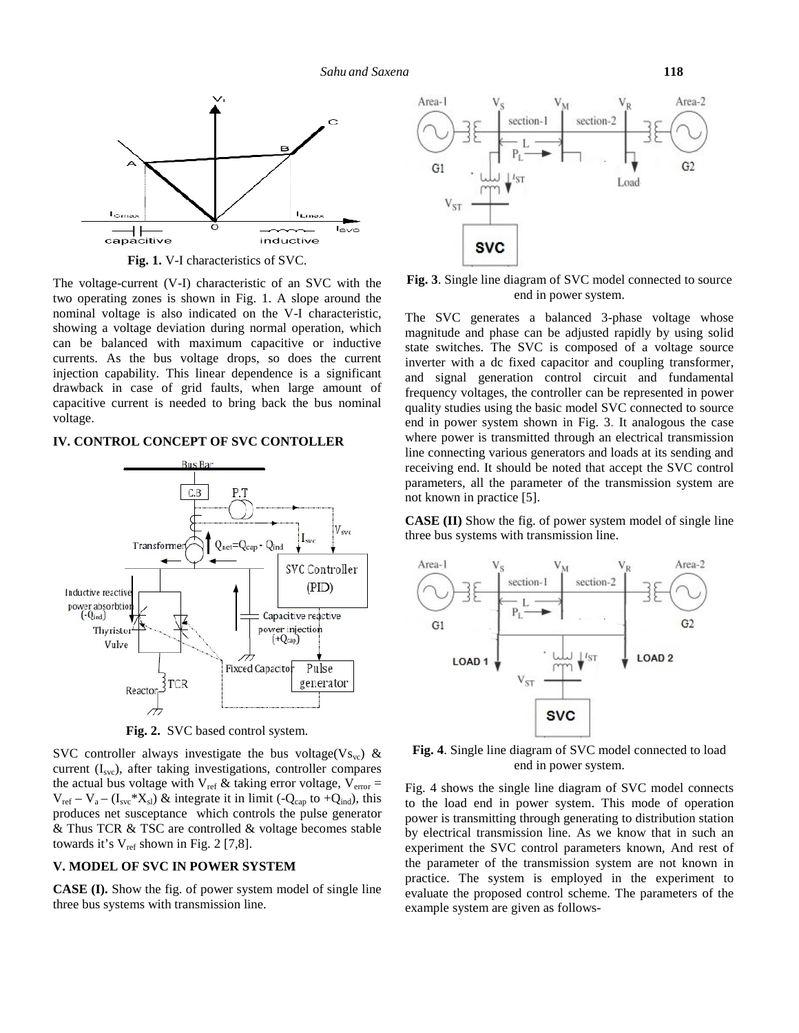

**Fig. 1.** V-I characteristics of SVC.

The voltage-current (V-I) characteristic of an SVC with the two operating zones is shown in Fig. 1. A slope around the nominal voltage is also indicated on the V-I characteristic, showing a voltage deviation during normal operation, which can be balanced with maximum capacitive or inductive currents. As the bus voltage drops, so does the current injection capability. This linear dependence is a significant drawback in case of grid faults, when large amount of capacitive current is needed to bring back the bus nominal voltage.

#### **IV. CONTROL CONCEPT OF SVC CONTOLLER**



**Fig. 2.** SVC based control system.

SVC controller always investigate the bus voltage(Vs<sub>vc</sub>) & current  $(I<sub>src</sub>)$ , after taking investigations, controller compares the actual bus voltage with  $V_{ref}$  & taking error voltage,  $V_{error} =$  $V_{ref} - V_a - (I_{svc} * X_{sl})$  & integrate it in limit (-Q<sub>cap</sub> to +Q<sub>ind</sub>), this produces net susceptance which controls the pulse generator & Thus TCR & TSC are controlled & voltage becomes stable towards it's  $V_{ref}$  shown in Fig. 2 [7,8].

# **V. MODEL OF SVC IN POWER SYSTEM**

**CASE (I).** Show the fig. of power system model of single line three bus systems with transmission line.



**Fig. 3**. Single line diagram of SVC model connected to source end in power system.

The SVC generates a balanced 3-phase voltage whose magnitude and phase can be adjusted rapidly by using solid state switches. The SVC is composed of a voltage source inverter with a dc fixed capacitor and coupling transformer, and signal generation control circuit and fundamental frequency voltages, the controller can be represented in power quality studies using the basic model SVC connected to source end in power system shown in Fig. 3. It analogous the case where power is transmitted through an electrical transmission line connecting various generators and loads at its sending and receiving end. It should be noted that accept the SVC control parameters, all the parameter of the transmission system are not known in practice [5].

**CASE (II)** Show the fig. of power system model of single line three bus systems with transmission line.



**Fig. 4**. Single line diagram of SVC model connected to load end in power system.

Fig. 4 shows the single line diagram of SVC model connects to the load end in power system. This mode of operation power is transmitting through generating to distribution station by electrical transmission line. As we know that in such an experiment the SVC control parameters known, And rest of the parameter of the transmission system are not known in practice. The system is employed in the experiment to evaluate the proposed control scheme. The parameters of the example system are given as follows-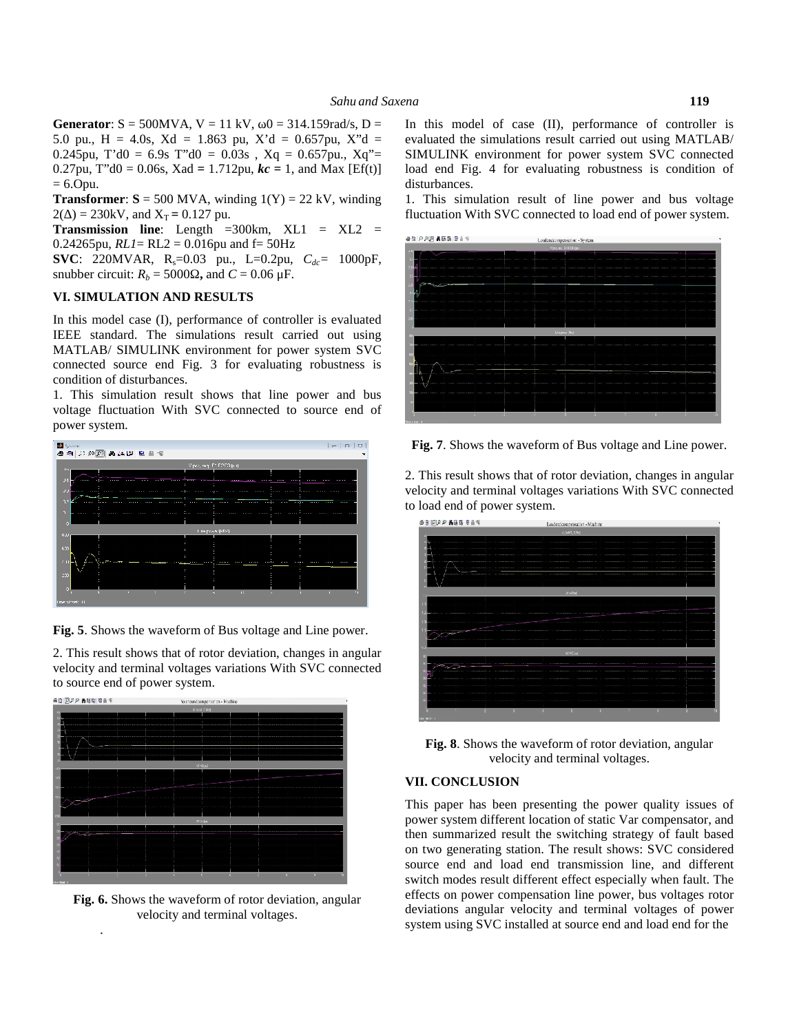**Generator**:  $S = 500MVA$ ,  $V = 11 kV$ ,  $0 = 314.159 rad/s$ ,  $D =$ 5.0 pu., H = 4.0s, Xd *=* 1.863 pu, X'd = 0.657pu, X"d = 0.245pu, T'd0 =  $6.9s$  T"d0 =  $0.03s$ , Xq =  $0.657pu$ , Xq"= 0.27pu, T'd0 = 0.06s, Xad = 1.712pu,  $kc = 1$ , and Max [Ef(t)]  $= 6.0$ pu.

**Transformer:**  $S = 500$  **MVA, winding**  $1(Y) = 22$  **kV, winding**  $2( ) = 230$ kV, and  $X_T = 0.127$  pu.

**Transmission line**: Length  $=300 \text{km}$ , XL1 = XL2 = 0.24265pu,  $RLI = RL2 = 0.016$ pu and  $f = 50$ Hz

**SVC**: 220MVAR, R<sub>s</sub>=0.03 pu., L=0.2pu,  $C_{dc}$ = 1000pF, snubber circuit:  $R_b = 5000$ , and  $C = 0.06 \mu$ F.

## **VI. SIMULATION AND RESULTS**

In this model case (I), performance of controller is evaluated IEEE standard. The simulations result carried out using MATLAB/ SIMULINK environment for power system SVC connected source end Fig. 3 for evaluating robustness is condition of disturbances.

1. This simulation result shows that line power and bus voltage fluctuation With SVC connected to source end of power system.



**Fig. 5**. Shows the waveform of Bus voltage and Line power.

2. This result shows that of rotor deviation, changes in angular velocity and terminal voltages variations With SVC connected to source end of power system.



**Fig. 6.** Shows the waveform of rotor deviation, angular velocity and terminal voltages.

.

In this model of case (II), performance of controller is evaluated the simulations result carried out using MATLAB/ SIMULINK environment for power system SVC connected load end Fig. 4 for evaluating robustness is condition of disturbances.

1. This simulation result of line power and bus voltage fluctuation With SVC connected to load end of power system.



**Fig. 7**. Shows the waveform of Bus voltage and Line power.

2. This result shows that of rotor deviation, changes in angular velocity and terminal voltages variations With SVC connected to load end of power system.



**Fig. 8**. Shows the waveform of rotor deviation, angular velocity and terminal voltages.

# **VII. CONCLUSION**

This paper has been presenting the power quality issues of power system different location of static Var compensator, and then summarized result the switching strategy of fault based on two generating station. The result shows: SVC considered source end and load end transmission line, and different switch modes result different effect especially when fault. The effects on power compensation line power, bus voltages rotor deviations angular velocity and terminal voltages of power system using SVC installed at source end and load end for the